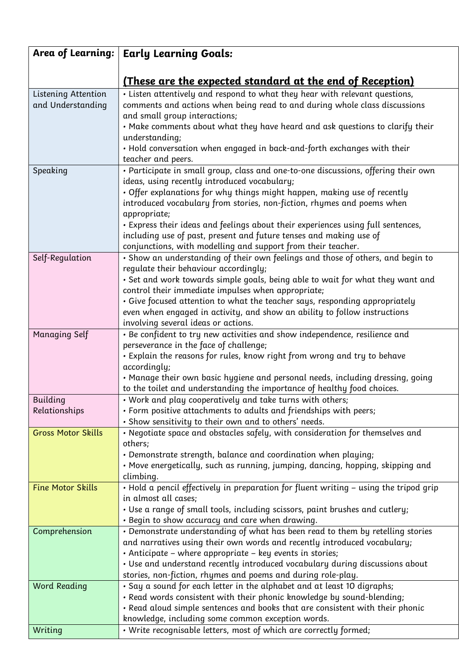| Area of Learning:         | <b>Early Learning Goals:</b>                                                                                                                             |
|---------------------------|----------------------------------------------------------------------------------------------------------------------------------------------------------|
|                           |                                                                                                                                                          |
|                           | <u>(These are the expected standard at the end of Reception)</u>                                                                                         |
| Listening Attention       | . Listen attentively and respond to what they hear with relevant questions,                                                                              |
| and Understanding         | comments and actions when being read to and during whole class discussions                                                                               |
|                           | and small group interactions;                                                                                                                            |
|                           | • Make comments about what they have heard and ask questions to clarify their                                                                            |
|                           | understanding;<br>• Hold conversation when engaged in back-and-forth exchanges with their                                                                |
|                           | teacher and peers.                                                                                                                                       |
| Speaking                  | · Participate in small group, class and one-to-one discussions, offering their own                                                                       |
|                           | ideas, using recently introduced vocabulary;                                                                                                             |
|                           | • Offer explanations for why things might happen, making use of recently                                                                                 |
|                           | introduced vocabulary from stories, non-fiction, rhymes and poems when                                                                                   |
|                           | appropriate;                                                                                                                                             |
|                           | • Express their ideas and feelings about their experiences using full sentences,                                                                         |
|                           | including use of past, present and future tenses and making use of                                                                                       |
|                           | conjunctions, with modelling and support from their teacher.                                                                                             |
| Self-Regulation           | • Show an understanding of their own feelings and those of others, and begin to                                                                          |
|                           | regulate their behaviour accordingly;                                                                                                                    |
|                           | • Set and work towards simple goals, being able to wait for what they want and                                                                           |
|                           | control their immediate impulses when appropriate;                                                                                                       |
|                           | • Give focused attention to what the teacher says, responding appropriately<br>even when engaged in activity, and show an ability to follow instructions |
|                           | involving several ideas or actions.                                                                                                                      |
| <b>Managing Self</b>      | • Be confident to try new activities and show independence, resilience and                                                                               |
|                           | perseverance in the face of challenge;                                                                                                                   |
|                           | • Explain the reasons for rules, know right from wrong and try to behave                                                                                 |
|                           | accordingly;                                                                                                                                             |
|                           | • Manage their own basic hygiene and personal needs, including dressing, going                                                                           |
|                           | to the toilet and understanding the importance of healthy food choices.                                                                                  |
| Building                  | • Work and play cooperatively and take turns with others;                                                                                                |
| Relationships             | · Form positive attachments to adults and friendships with peers;                                                                                        |
|                           | • Show sensitivity to their own and to others' needs.                                                                                                    |
| <b>Gross Motor Skills</b> | • Negotiate space and obstacles safely, with consideration for themselves and<br>others;                                                                 |
|                           | • Demonstrate strength, balance and coordination when playing;                                                                                           |
|                           | • Move energetically, such as running, jumping, dancing, hopping, skipping and                                                                           |
|                           | climbing.                                                                                                                                                |
| <b>Fine Motor Skills</b>  | • Hold a pencil effectively in preparation for fluent writing – using the tripod grip                                                                    |
|                           | in almost all cases;                                                                                                                                     |
|                           | • Use a range of small tools, including scissors, paint brushes and cutlery;                                                                             |
|                           | • Begin to show accuracy and care when drawing.                                                                                                          |
| Comprehension             | • Demonstrate understanding of what has been read to them by retelling stories                                                                           |
|                           | and narratives using their own words and recently introduced vocabulary;                                                                                 |
|                           | • Anticipate – where appropriate – key events in stories;<br>• Use and understand recently introduced vocabulary during discussions about                |
|                           | stories, non-fiction, rhymes and poems and during role-play.                                                                                             |
| <b>Word Reading</b>       | • Say a sound for each letter in the alphabet and at least 10 digraphs;                                                                                  |
|                           | · Read words consistent with their phonic knowledge by sound-blending;                                                                                   |
|                           | · Read aloud simple sentences and books that are consistent with their phonic                                                                            |
|                           | knowledge, including some common exception words.                                                                                                        |
| Writing                   | . Write recognisable letters, most of which are correctly formed;                                                                                        |
|                           |                                                                                                                                                          |